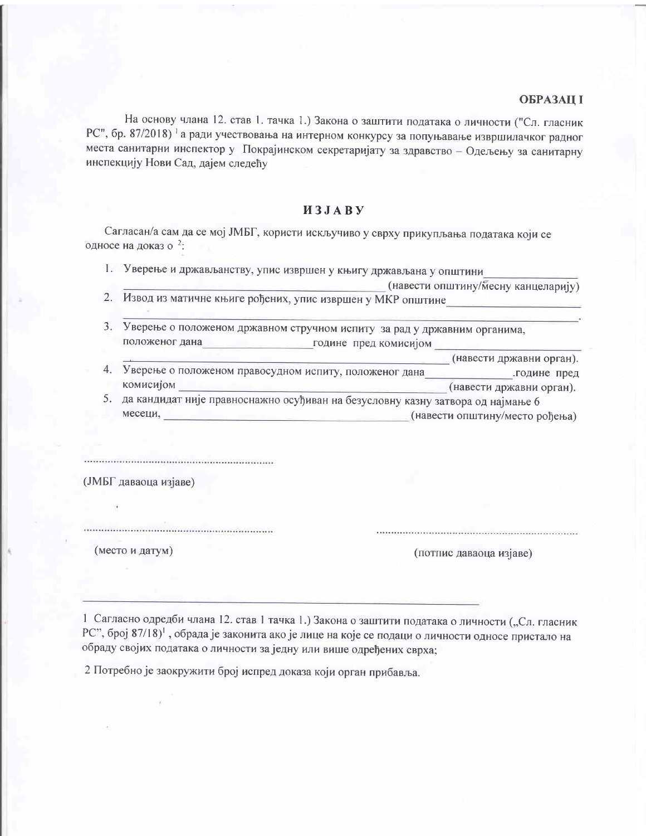## **ОБРАЗАЦ І**

На основу члана 12. став 1. тачка 1.) Закона о заштити података о личности ("Сл. гласник РС", бр. 87/2018) а ради учествовања на интерном конкурсу за попуњавање извршилачког радног места санитарни инспектор у Покрајинском секретаријату за здравство - Одељењу за санитарну инспекцију Нови Сад, дајем следећу

# *H***3JABY**

Сагласан/а сам да се мој ЈМБГ, користи искључиво у сврху прикупљања података који се односе на доказ о <sup>2</sup>:

1. Уверење и држављанству, упис извршен у књигу држављана у општини

| (навести општину/месну канцеларију) |  |
|-------------------------------------|--|
|                                     |  |

- 2. Извод из матичне књиге рођених, упис извршен у МКР општине\_
- 3. Уверење о положеном државном стручном испиту за рад у државним органима, положеног дана подине пред комисијом
- (навести државни орган). 4. Уверење о положеном правосудном испиту, положеног дана године пред комисијом (навести државни орган).
- 5. да кандидат није правноснажно осуђиван на безусловну казну затвора од најмање 6 месеци, по последника и политических (навести општину/место рођења)

(ЈМБГ даваоца изјаве)

(место и датум)

(потпис даваоца изјаве)

1 Сагласно одредби члана 12. став 1 тачка 1.) Закона о заштити података о личности ("Сл. гласник РС", број 87/18)<sup>1</sup>, обрада је законита ако је лице на које се подаци о личности односе пристало на обраду својих података о личности за једну или више одређених сврха;

2 Потребно је заокружити број испред доказа који орган прибавља.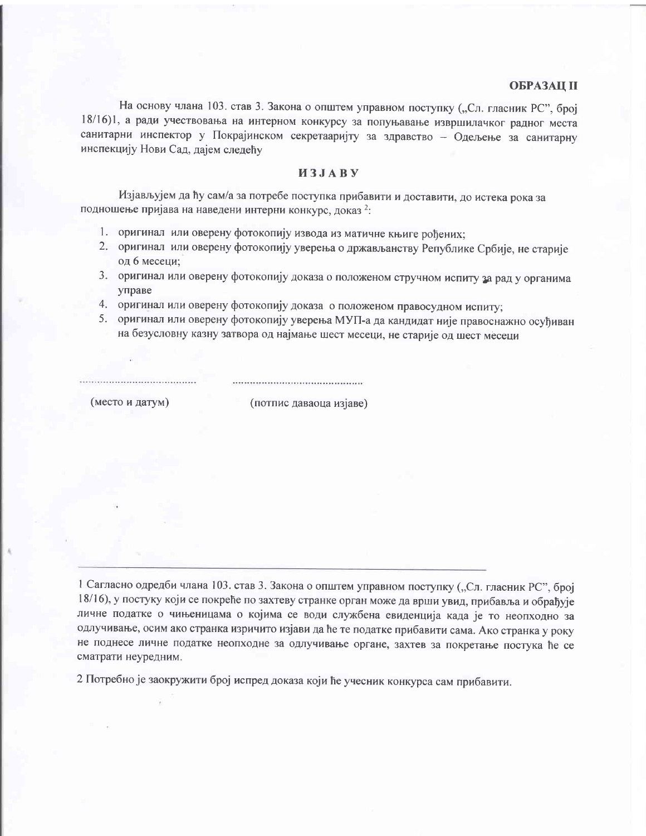### **ОБРАЗАЦ II**

На основу члана 103. став 3. Закона о општем управном поступку ("Сл. гласник РС", број 18/16)1, а ради учествовања на интерном конкурсу за попуњавање извршилачког радног места санитарни инспектор у Покрајинском секретааријту за здравство - Одељење за санитарну инспекцију Нови Сад, дајем следећу

# *H***3JAB** *y*

Изјављујем да ћу сам/а за потребе поступка прибавити и доставити, до истека рока за подношење пријава на наведени интерни конкурс, доказ 2:

- 1. оригинал или оверену фотокопију извода из матичне књиге рођених:
- 2. оригинал или оверену фотокопију уверења о држављанству Републике Србије, не старије од 6 месеци;
- 3. оригинал или оверену фотокопију доказа о положеном стручном испиту за рад у органима управе
- 4. оригинал или оверену фотокопију доказа о положеном правосудном испиту;
- 5. оригинал или оверену фотокопију уверења МУП-а да кандидат није правоснажно осуђиван на безусловну казну затвора од најмање шест месеци, не старије од шест месеци

(место и датум)

(потпис даваоца изјаве)

1 Сагласно одредби члана 103. став 3. Закона о општем управном поступку ("Сл. гласник РС", број 18/16), у постуку који се покреће по захтеву странке орган може да врши увид, прибавља и обрађује личне податке о чињеницама о којима се води службена евиденција када је то неопходно за одлучивање, осим ако странка изричито изјави да ће те податке прибавити сама. Ако странка у року не поднесе личне податке неопходне за одлучивање органе, захтев за покретање постука ће се сматрати неуредним.

2 Потребно је заокружити број испред доказа који ће учесник конкурса сам прибавити.